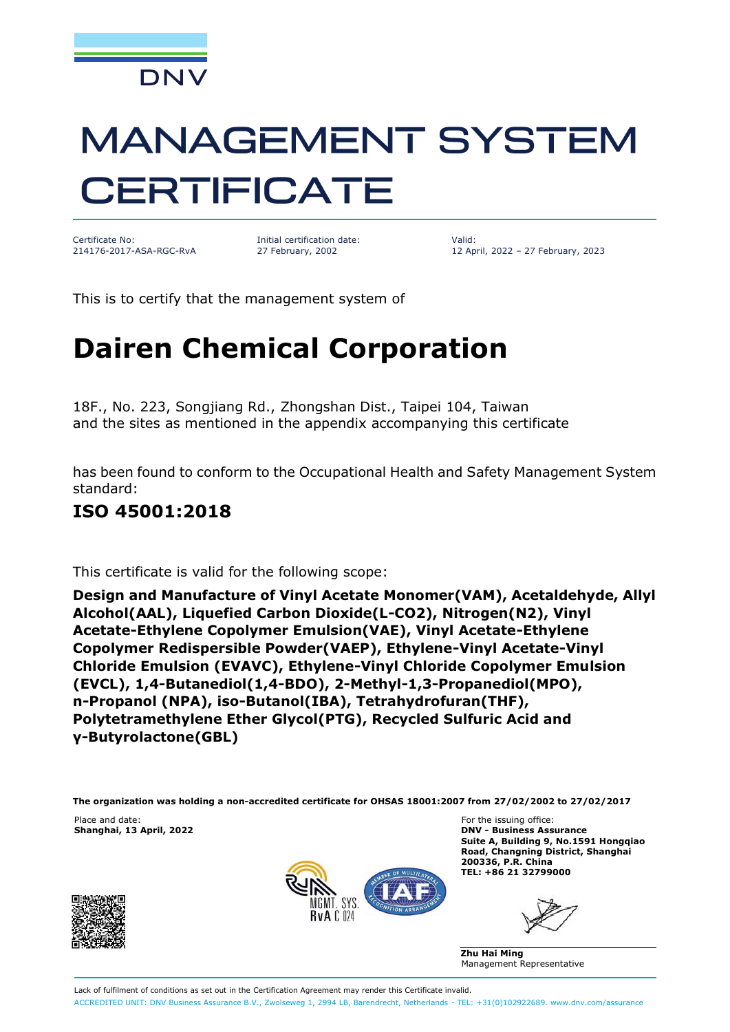

# **MANAGEMENT SYSTEM CERTIFICATE**

Certificate No: 214176-2017-ASA-RGC-RvA

Initial certification date: 27 February, 2002

Valid: 12 April, 2022 – 27 February, 2023

This is to certify that the management system of

## **Dairen Chemical Corporation**

18F., No. 223, Songjiang Rd., Zhongshan Dist., Taipei 104, Taiwan and the sites as mentioned in the appendix accompanying this certificate

has been found to conform to the Occupational Health and Safety Management System standard:

#### **ISO 45001:2018**

This certificate is valid for the following scope:

**Design and Manufacture of Vinyl Acetate Monomer(VAM), Acetaldehyde, Allyl Alcohol(AAL), Liquefied Carbon Dioxide(L-CO2), Nitrogen(N2), Vinyl Acetate-Ethylene Copolymer Emulsion(VAE), Vinyl Acetate-Ethylene Copolymer Redispersible Powder(VAEP), Ethylene-Vinyl Acetate-Vinyl Chloride Emulsion (EVAVC), Ethylene-Vinyl Chloride Copolymer Emulsion (EVCL), 1,4-Butanediol(1,4-BDO), 2-Methyl-1,3-Propanediol(MPO), n-Propanol (NPA), iso-Butanol(IBA), Tetrahydrofuran(THF), Polytetramethylene Ether Glycol(PTG), Recycled Sulfuric Acid and γ-Butyrolactone(GBL)**

**The organization was holding a non-accredited certificate for OHSAS 18001:2007 from 27/02/2002 to 27/02/2017**

 $Shanghai, 13 April, 2022$ 





Place and date: The issuing office:<br> **Shanghai, 13 April, 2022 Example 2018 Contract Contract Contract Contract Contract Contract Contract Contract Contract Contract Contract Contract Contract Contract Contract Contrac Suite A, Building 9, No.1591 Hongqiao Road, Changning District, Shanghai 200336, P.R. China TEL: +86 21 32799000**

**Zhu Hai Ming** Management Representative

Lack of fulfilment of conditions as set out in the Certification Agreement may render this Certificate invalid. ACCREDITED UNIT: DNV Business Assurance B.V., Zwolseweg 1, 2994 LB, Barendrecht, Netherlands - TEL: +31(0)102922689. [www.dnv.com/assurance](http://www.dnv.com/assurance)